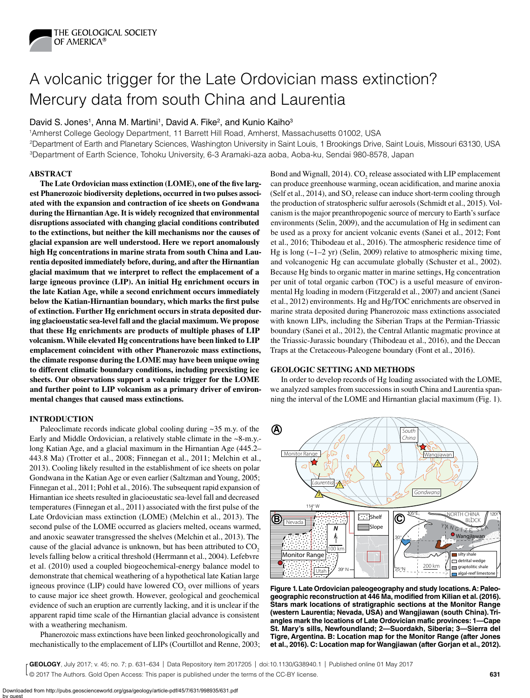

# A volcanic trigger for the Late Ordovician mass extinction? Mercury data from south China and Laurentia

## David S. Jones<sup>1</sup>, Anna M. Martini<sup>1</sup>, David A. Fike<sup>2</sup>, and Kunio Kaiho<sup>3</sup>

1Amherst College Geology Department, 11 Barrett Hill Road, Amherst, Massachusetts 01002, USA

2Department of Earth and Planetary Sciences, Washington University in Saint Louis, 1 Brookings Drive, Saint Louis, Missouri 63130, USA 3Department of Earth Science, Tohoku University, 6-3 Aramaki-aza aoba, Aoba-ku, Sendai 980-8578, Japan

## **ABSTRACT**

**The Late Ordovician mass extinction (LOME), one of the five largest Phanerozoic biodiversity depletions, occurred in two pulses associated with the expansion and contraction of ice sheets on Gondwana during the Hirnantian Age. It is widely recognized that environmental disruptions associated with changing glacial conditions contributed to the extinctions, but neither the kill mechanisms nor the causes of glacial expansion are well understood. Here we report anomalously high Hg concentrations in marine strata from south China and Laurentia deposited immediately before, during, and after the Hirnantian glacial maximum that we interpret to reflect the emplacement of a large igneous province (LIP). An initial Hg enrichment occurs in the late Katian Age, while a second enrichment occurs immediately below the Katian-Hirnantian boundary, which marks the first pulse of extinction. Further Hg enrichment occurs in strata deposited during glacioeustatic sea-level fall and the glacial maximum. We propose that these Hg enrichments are products of multiple phases of LIP volcanism. While elevated Hg concentrations have been linked to LIP emplacement coincident with other Phanerozoic mass extinctions, the climate response during the LOME may have been unique owing to different climatic boundary conditions, including preexisting ice sheets. Our observations support a volcanic trigger for the LOME and further point to LIP volcanism as a primary driver of environmental changes that caused mass extinctions.**

### **INTRODUCTION**

Paleoclimate records indicate global cooling during  $\sim$ 35 m.y. of the Early and Middle Ordovician, a relatively stable climate in the ~8-m.y. long Katian Age, and a glacial maximum in the Hirnantian Age (445.2– 443.8 Ma) (Trotter et al., 2008; Finnegan et al., 2011; Melchin et al., 2013). Cooling likely resulted in the establishment of ice sheets on polar Gondwana in the Katian Age or even earlier (Saltzman and Young, 2005; Finnegan et al., 2011; Pohl et al., 2016). The subsequent rapid expansion of Hirnantian ice sheets resulted in glacioeustatic sea-level fall and decreased temperatures (Finnegan et al., 2011) associated with the first pulse of the Late Ordovician mass extinction (LOME) (Melchin et al., 2013). The second pulse of the LOME occurred as glaciers melted, oceans warmed, and anoxic seawater transgressed the shelves (Melchin et al., 2013). The cause of the glacial advance is unknown, but has been attributed to  $CO<sub>2</sub>$ levels falling below a critical threshold (Herrmann et al., 2004). Lefebvre et al. (2010) used a coupled biogeochemical-energy balance model to demonstrate that chemical weathering of a hypothetical late Katian large igneous province (LIP) could have lowered  $CO<sub>2</sub>$  over millions of years to cause major ice sheet growth. However, geological and geochemical evidence of such an eruption are currently lacking, and it is unclear if the apparent rapid time scale of the Hirnantian glacial advance is consistent with a weathering mechanism.

Phanerozoic mass extinctions have been linked geochronologically and mechanistically to the emplacement of LIPs (Courtillot and Renne, 2003;

Bond and Wignall, 2014).  $\rm CO_2$  release associated with LIP emplacement can produce greenhouse warming, ocean acidification, and marine anoxia (Self et al., 2014), and  $SO_2$  release can induce short-term cooling through the production of stratospheric sulfur aerosols (Schmidt et al., 2015). Volcanism is the major preanthropogenic source of mercury to Earth's surface environments (Selin, 2009), and the accumulation of Hg in sediment can be used as a proxy for ancient volcanic events (Sanei et al., 2012; Font et al., 2016; Thibodeau et al., 2016). The atmospheric residence time of Hg is long  $(-1-2 \text{ yr})$  (Selin, 2009) relative to atmospheric mixing time, and volcanogenic Hg can accumulate globally (Schuster et al., 2002). Because Hg binds to organic matter in marine settings, Hg concentration per unit of total organic carbon (TOC) is a useful measure of environmental Hg loading in modern (Fitzgerald et al., 2007) and ancient (Sanei et al., 2012) environments. Hg and Hg/TOC enrichments are observed in marine strata deposited during Phanerozoic mass extinctions associated with known LIPs, including the Siberian Traps at the Permian-Triassic boundary (Sanei et al., 2012), the Central Atlantic magmatic province at the Triassic-Jurassic boundary (Thibodeau et al., 2016), and the Deccan Traps at the Cretaceous-Paleogene boundary (Font et al., 2016).

## **GEOLOGIC SETTING AND METHODS**

In order to develop records of Hg loading associated with the LOME, we analyzed samples from successions in south China and Laurentia spanning the interval of the LOME and Hirnantian glacial maximum (Fig. 1).



**Figure 1. Late Ordovician paleogeography and study locations. A: Paleogeographic reconstruction at 446 Ma, modified from Kilian et al. (2016). Stars mark locations of stratigraphic sections at the Monitor Range (western Laurentia; Nevada, USA) and Wangjiawan (south China). Triangles mark the locations of Late Ordovician mafic provinces: 1—Cape St. Mary's sills, Newfoundland; 2—Suordakh, Siberia; 3—Sierra del Tigre, Argentina. B: Location map for the Monitor Range (after Jones et al., 2016). C: Location map for Wangjiawan (after Gorjan et al., 2012).**

© 2017 The Authors. Gold Open Access: This paper is published under the terms of the CC-BY license. **GEOLOGY**, July 2017; v. 45; no. 7; p. 631–634 | Data Repository item 2017205 | doi:10.1130/G38940.1 | Published online 01 May 2017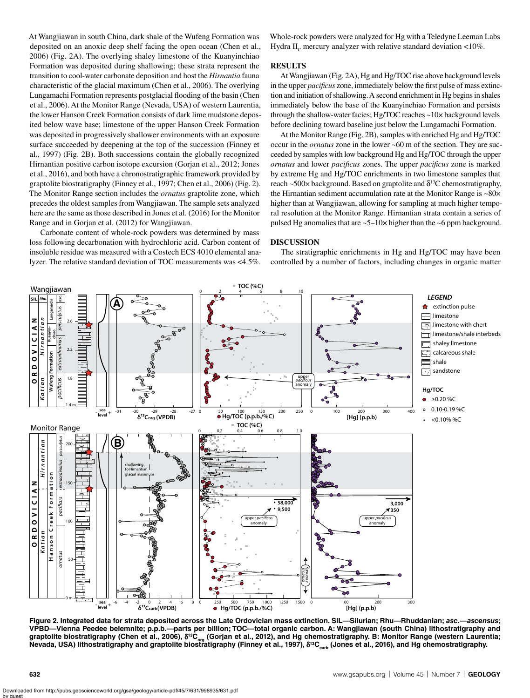At Wangjiawan in south China, dark shale of the Wufeng Formation was deposited on an anoxic deep shelf facing the open ocean (Chen et al., 2006) (Fig. 2A). The overlying shaley limestone of the Kuanyinchiao Formation was deposited during shallowing; these strata represent the transition to cool-water carbonate deposition and host the *Hirnantia* fauna characteristic of the glacial maximum (Chen et al., 2006). The overlying Lungamachi Formation represents postglacial flooding of the basin (Chen et al., 2006). At the Monitor Range (Nevada, USA) of western Laurentia, the lower Hanson Creek Formation consists of dark lime mudstone deposited below wave base; limestone of the upper Hanson Creek Formation was deposited in progressively shallower environments with an exposure surface succeeded by deepening at the top of the succession (Finney et al., 1997) (Fig. 2B). Both successions contain the globally recognized Hirnantian positive carbon isotope excursion (Gorjan et al., 2012; Jones et al., 2016), and both have a chronostratigraphic framework provided by graptolite biostratigraphy (Finney et al., 1997; Chen et al., 2006) (Fig. 2). The Monitor Range section includes the *ornatus* graptolite zone, which precedes the oldest samples from Wangjiawan. The sample sets analyzed here are the same as those described in Jones et al. (2016) for the Monitor Range and in Gorjan et al. (2012) for Wangjiawan.

Carbonate content of whole-rock powders was determined by mass loss following decarbonation with hydrochloric acid. Carbon content of insoluble residue was measured with a Costech ECS 4010 elemental analyzer. The relative standard deviation of TOC measurements was <4.5%. Whole-rock powders were analyzed for Hg with a Teledyne Leeman Labs Hydra II<sub>c</sub> mercury analyzer with relative standard deviation  $\langle 10\% \rangle$ .

#### **RESULTS**

At Wangjiawan (Fig. 2A), Hg and Hg/TOC rise above background levels in the upper *pacificus* zone, immediately below the first pulse of mass extinction and initiation of shallowing. A second enrichment in Hg begins in shales immediately below the base of the Kuanyinchiao Formation and persists through the shallow-water facies; Hg/TOC reaches ~10× background levels before declining toward baseline just below the Lungamachi Formation.

At the Monitor Range (Fig. 2B), samples with enriched Hg and Hg/TOC occur in the *ornatus* zone in the lower ~60 m of the section. They are succeeded by samples with low background Hg and Hg/TOC through the upper *ornatus* and lower *pacificus* zones. The upper *pacificus* zone is marked by extreme Hg and Hg/TOC enrichments in two limestone samples that reach ~500 $\times$  background. Based on graptolite and  $\delta^{13}$ C chemostratigraphy, the Hirnantian sediment accumulation rate at the Monitor Range is ~80× higher than at Wangjiawan, allowing for sampling at much higher temporal resolution at the Monitor Range. Hirnantian strata contain a series of pulsed Hg anomalies that are  $\sim$  5–10 $\times$  higher than the  $\sim$  6 ppm background.

# **DISCUSSION**

The stratigraphic enrichments in Hg and Hg/TOC may have been controlled by a number of factors, including changes in organic matter



**Figure 2. Integrated data for strata deposited across the Late Ordovician mass extinction. SIL—Silurian; Rhu—Rhuddanian;** *asc.***—***ascensus***; VPBD—Vienna Peedee belemnite; p.p.b.—parts per billion; TOC—total organic carbon. A: Wangjiawan (south China) lithostratigraphy and**  graptolite biostratigraphy (Chen et al., 2006), δ<sup>13</sup>C<sub>org</sub> (Gorjan et al., 2012), and Hg chemostratigraphy. B: Monitor Range (western Laurentia; Nevada, USA) lithostratigraphy and graptolite biostr̃atigraphy (Finney et al., 1997), δ<sup>13</sup>C<sub>carb</sub> (Jones et al., 2016), and Hg chemostratigraphy.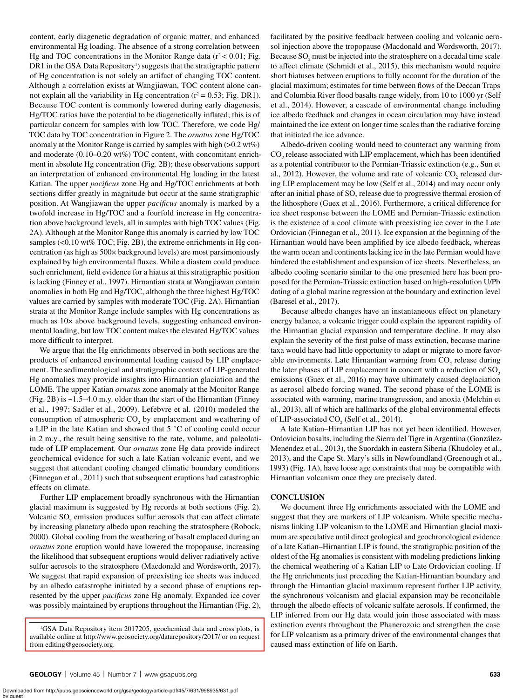content, early diagenetic degradation of organic matter, and enhanced environmental Hg loading. The absence of a strong correlation between Hg and TOC concentrations in the Monitor Range data ( $r^2$  < 0.01; Fig. DR1 in the GSA Data Repository<sup>1</sup>) suggests that the stratigraphic pattern of Hg concentration is not solely an artifact of changing TOC content. Although a correlation exists at Wangjiawan, TOC content alone cannot explain all the variability in Hg concentration ( $r^2 = 0.53$ ; Fig. DR1). Because TOC content is commonly lowered during early diagenesis, Hg/TOC ratios have the potential to be diagenetically inflated; this is of particular concern for samples with low TOC. Therefore, we code Hg/ TOC data by TOC concentration in Figure 2. The *ornatus* zone Hg/TOC anomaly at the Monitor Range is carried by samples with high  $(>0.2 \text{ wt%)}$ and moderate (0.10–0.20 wt%) TOC content, with concomitant enrichment in absolute Hg concentration (Fig. 2B); these observations support an interpretation of enhanced environmental Hg loading in the latest Katian. The upper *pacificus* zone Hg and Hg/TOC enrichments at both sections differ greatly in magnitude but occur at the same stratigraphic position. At Wangjiawan the upper *pacificus* anomaly is marked by a twofold increase in Hg/TOC and a fourfold increase in Hg concentration above background levels, all in samples with high TOC values (Fig. 2A). Although at the Monitor Range this anomaly is carried by low TOC samples (<0.10 wt% TOC; Fig. 2B), the extreme enrichments in Hg concentration (as high as 500× background levels) are most parsimoniously explained by high environmental fluxes. While a diastem could produce such enrichment, field evidence for a hiatus at this stratigraphic position is lacking (Finney et al., 1997). Hirnantian strata at Wangjiawan contain anomalies in both Hg and Hg/TOC, although the three highest Hg/TOC values are carried by samples with moderate TOC (Fig. 2A). Hirnantian strata at the Monitor Range include samples with Hg concentrations as much as 10× above background levels, suggesting enhanced environmental loading, but low TOC content makes the elevated Hg/TOC values more difficult to interpret.

We argue that the Hg enrichments observed in both sections are the products of enhanced environmental loading caused by LIP emplacement. The sedimentological and stratigraphic context of LIP-generated Hg anomalies may provide insights into Hirnantian glaciation and the LOME. The upper Katian *ornatus* zone anomaly at the Monitor Range (Fig. 2B) is ~1.5–4.0 m.y. older than the start of the Hirnantian (Finney et al., 1997; Sadler et al., 2009). Lefebvre et al. (2010) modeled the consumption of atmospheric  $CO<sub>2</sub>$  by emplacement and weathering of a LIP in the late Katian and showed that 5 °C of cooling could occur in 2 m.y., the result being sensitive to the rate, volume, and paleolatitude of LIP emplacement. Our *ornatus* zone Hg data provide indirect geochemical evidence for such a late Katian volcanic event, and we suggest that attendant cooling changed climatic boundary conditions (Finnegan et al., 2011) such that subsequent eruptions had catastrophic effects on climate.

Further LIP emplacement broadly synchronous with the Hirnantian glacial maximum is suggested by Hg records at both sections (Fig. 2). Volcanic  $SO_2$  emission produces sulfur aerosols that can affect climate by increasing planetary albedo upon reaching the stratosphere (Robock, 2000). Global cooling from the weathering of basalt emplaced during an *ornatus* zone eruption would have lowered the tropopause, increasing the likelihood that subsequent eruptions would deliver radiatively active sulfur aerosols to the stratosphere (Macdonald and Wordsworth, 2017). We suggest that rapid expansion of preexisting ice sheets was induced by an albedo catastrophe initiated by a second phase of eruptions represented by the upper *pacificus* zone Hg anomaly. Expanded ice cover was possibly maintained by eruptions throughout the Hirnantian (Fig. 2),

facilitated by the positive feedback between cooling and volcanic aerosol injection above the tropopause (Macdonald and Wordsworth, 2017). Because  ${SO_2}$  must be injected into the stratosphere on a decadal time scale to affect climate (Schmidt et al., 2015), this mechanism would require short hiatuses between eruptions to fully account for the duration of the glacial maximum; estimates for time between flows of the Deccan Traps and Columbia River flood basalts range widely, from 10 to 1000 yr (Self et al., 2014). However, a cascade of environmental change including ice albedo feedback and changes in ocean circulation may have instead maintained the ice extent on longer time scales than the radiative forcing that initiated the ice advance.

Albedo-driven cooling would need to counteract any warming from  $\mathrm{CO}_2$  release associated with LIP emplacement, which has been identified as a potential contributor to the Permian-Triassic extinction (e.g., Sun et al., 2012). However, the volume and rate of volcanic  $CO_2$  released during LIP emplacement may be low (Self et al., 2014) and may occur only after an initial phase of  $SO_2$  release due to progressive thermal erosion of the lithosphere (Guex et al., 2016). Furthermore, a critical difference for ice sheet response between the LOME and Permian-Triassic extinction is the existence of a cool climate with preexisting ice cover in the Late Ordovician (Finnegan et al., 2011). Ice expansion at the beginning of the Hirnantian would have been amplified by ice albedo feedback, whereas the warm ocean and continents lacking ice in the late Permian would have hindered the establishment and expansion of ice sheets. Nevertheless, an albedo cooling scenario similar to the one presented here has been proposed for the Permian-Triassic extinction based on high-resolution U/Pb dating of a global marine regression at the boundary and extinction level (Baresel et al., 2017).

Because albedo changes have an instantaneous effect on planetary energy balance, a volcanic trigger could explain the apparent rapidity of the Hirnantian glacial expansion and temperature decline. It may also explain the severity of the first pulse of mass extinction, because marine taxa would have had little opportunity to adapt or migrate to more favorable environments. Late Hirnantian warming from  $CO_2$  release during the later phases of LIP emplacement in concert with a reduction of SO<sub>2</sub> emissions (Guex et al., 2016) may have ultimately caused deglaciation as aerosol albedo forcing waned. The second phase of the LOME is associated with warming, marine transgression, and anoxia (Melchin et al., 2013), all of which are hallmarks of the global environmental effects of LIP-associated  $CO<sub>2</sub>$  (Self et al., 2014).

A late Katian–Hirnantian LIP has not yet been identified. However, Ordovician basalts, including the Sierra del Tigre in Argentina (González-Menéndez et al., 2013), the Suordakh in eastern Siberia (Khudoley et al., 2013), and the Cape St. Mary's sills in Newfoundland (Greenough et al., 1993) (Fig. 1A), have loose age constraints that may be compatible with Hirnantian volcanism once they are precisely dated.

## **CONCLUSION**

We document three Hg enrichments associated with the LOME and suggest that they are markers of LIP volcanism. While specific mechanisms linking LIP volcanism to the LOME and Hirnantian glacial maximum are speculative until direct geological and geochronological evidence of a late Katian–Hirnantian LIP is found, the stratigraphic position of the oldest of the Hg anomalies is consistent with modeling predictions linking the chemical weathering of a Katian LIP to Late Ordovician cooling. If the Hg enrichments just preceding the Katian-Hirnantian boundary and through the Hirnantian glacial maximum represent further LIP activity, the synchronous volcanism and glacial expansion may be reconcilable through the albedo effects of volcanic sulfate aerosols. If confirmed, the LIP inferred from our Hg data would join those associated with mass extinction events throughout the Phanerozoic and strengthen the case for LIP volcanism as a primary driver of the environmental changes that caused mass extinction of life on Earth.

<sup>&</sup>lt;sup>1</sup>GSA Data Repository item 2017205, geochemical data and cross plots, is [available online at http://www.geosociety.org/datarepository/2017/ or on request](http://www.geosociety.org/datarepository/2017/)  from editing@geosociety.org.